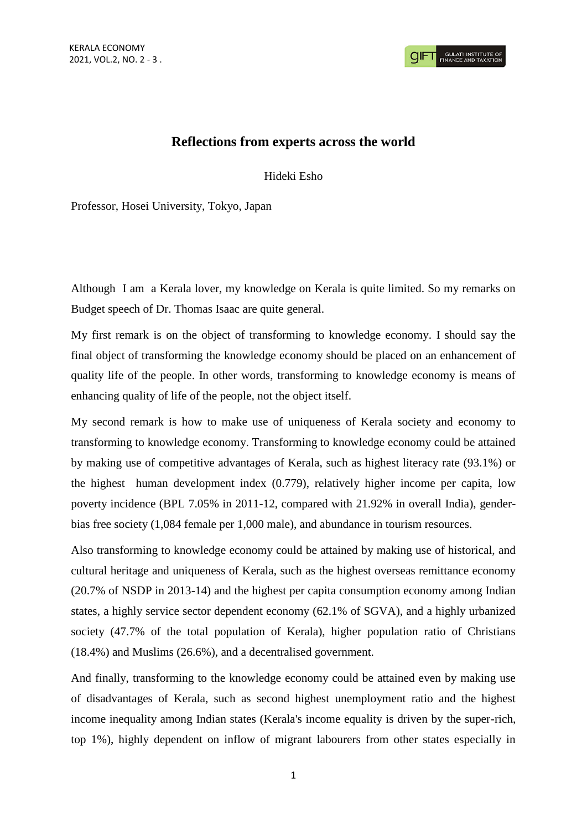## **Reflections from experts across the world**

Hideki Esho

Professor, Hosei University, Tokyo, Japan

Although I am a Kerala lover, my knowledge on Kerala is quite limited. So my remarks on Budget speech of Dr. Thomas Isaac are quite general.

My first remark is on the object of transforming to knowledge economy. I should say the final object of transforming the knowledge economy should be placed on an enhancement of quality life of the people. In other words, transforming to knowledge economy is means of enhancing quality of life of the people, not the object itself.

My second remark is how to make use of uniqueness of Kerala society and economy to transforming to knowledge economy. Transforming to knowledge economy could be attained by making use of competitive advantages of Kerala, such as highest literacy rate (93.1%) or the highest human development index (0.779), relatively higher income per capita, low poverty incidence (BPL 7.05% in 2011-12, compared with 21.92% in overall India), genderbias free society (1,084 female per 1,000 male), and abundance in tourism resources.

Also transforming to knowledge economy could be attained by making use of historical, and cultural heritage and uniqueness of Kerala, such as the highest overseas remittance economy (20.7% of NSDP in 2013-14) and the highest per capita consumption economy among Indian states, a highly service sector dependent economy (62.1% of SGVA), and a highly urbanized society (47.7% of the total population of Kerala), higher population ratio of Christians (18.4%) and Muslims (26.6%), and a decentralised government.

And finally, transforming to the knowledge economy could be attained even by making use of disadvantages of Kerala, such as second highest unemployment ratio and the highest income inequality among Indian states (Kerala's income equality is driven by the super-rich, top 1%), highly dependent on inflow of migrant labourers from other states especially in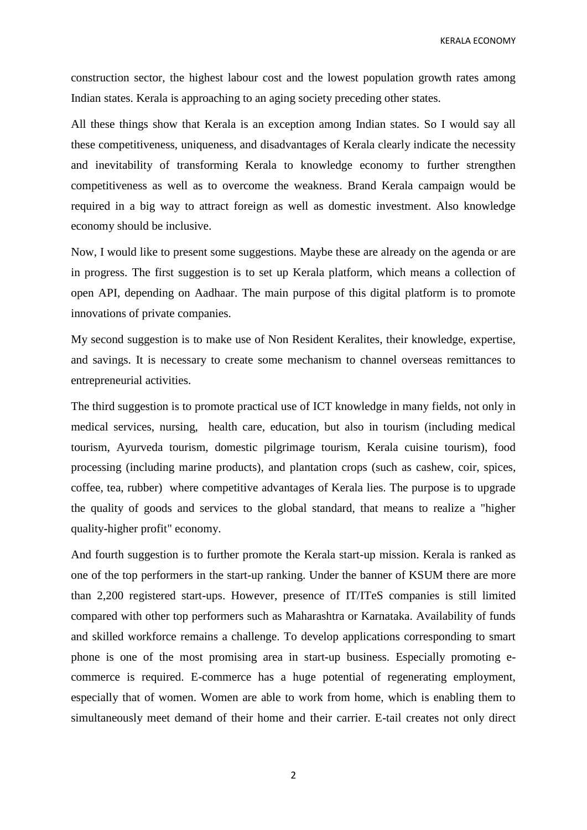KERALA ECONOMY

construction sector, the highest labour cost and the lowest population growth rates among Indian states. Kerala is approaching to an aging society preceding other states.

All these things show that Kerala is an exception among Indian states. So I would say all these competitiveness, uniqueness, and disadvantages of Kerala clearly indicate the necessity and inevitability of transforming Kerala to knowledge economy to further strengthen competitiveness as well as to overcome the weakness. Brand Kerala campaign would be required in a big way to attract foreign as well as domestic investment. Also knowledge economy should be inclusive.

Now, I would like to present some suggestions. Maybe these are already on the agenda or are in progress. The first suggestion is to set up Kerala platform, which means a collection of open API, depending on Aadhaar. The main purpose of this digital platform is to promote innovations of private companies.

My second suggestion is to make use of Non Resident Keralites, their knowledge, expertise, and savings. It is necessary to create some mechanism to channel overseas remittances to entrepreneurial activities.

The third suggestion is to promote practical use of ICT knowledge in many fields, not only in medical services, nursing, health care, education, but also in tourism (including medical tourism, Ayurveda tourism, domestic pilgrimage tourism, Kerala cuisine tourism), food processing (including marine products), and plantation crops (such as cashew, coir, spices, coffee, tea, rubber) where competitive advantages of Kerala lies. The purpose is to upgrade the quality of goods and services to the global standard, that means to realize a "higher quality-higher profit" economy.

And fourth suggestion is to further promote the Kerala start-up mission. Kerala is ranked as one of the top performers in the start-up ranking. Under the banner of KSUM there are more than 2,200 registered start-ups. However, presence of IT/ITeS companies is still limited compared with other top performers such as Maharashtra or Karnataka. Availability of funds and skilled workforce remains a challenge. To develop applications corresponding to smart phone is one of the most promising area in start-up business. Especially promoting ecommerce is required. E-commerce has a huge potential of regenerating employment, especially that of women. Women are able to work from home, which is enabling them to simultaneously meet demand of their home and their carrier. E-tail creates not only direct